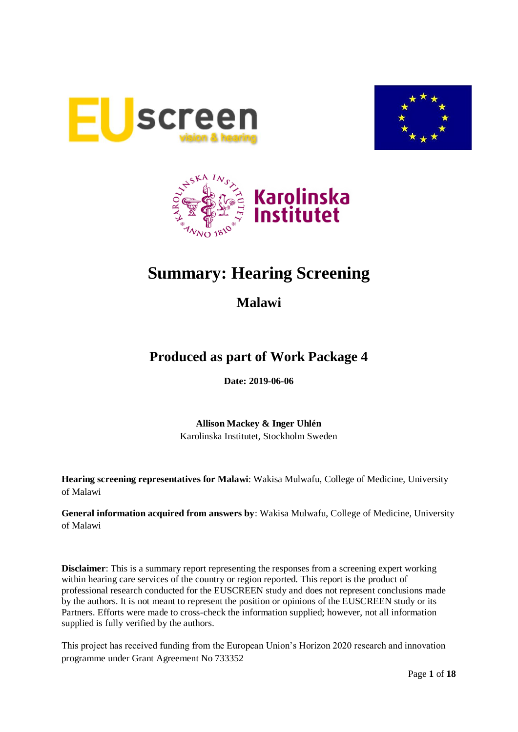





# **Summary: Hearing Screening**

**Malawi**

## **Produced as part of Work Package 4**

**Date: 2019-06-06**

**Allison Mackey & Inger Uhlén** Karolinska Institutet, Stockholm Sweden

**Hearing screening representatives for Malawi**: Wakisa Mulwafu, College of Medicine, University of Malawi

**General information acquired from answers by**: Wakisa Mulwafu, College of Medicine, University of Malawi

**Disclaimer**: This is a summary report representing the responses from a screening expert working within hearing care services of the country or region reported. This report is the product of professional research conducted for the EUSCREEN study and does not represent conclusions made by the authors. It is not meant to represent the position or opinions of the EUSCREEN study or its Partners. Efforts were made to cross-check the information supplied; however, not all information supplied is fully verified by the authors.

This project has received funding from the European Union's Horizon 2020 research and innovation programme under Grant Agreement No 733352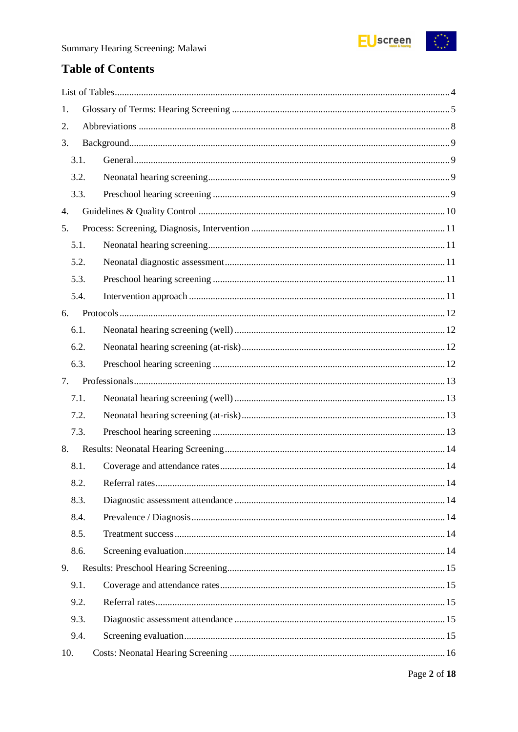

## **Table of Contents**

| 1.   |  |  |  |
|------|--|--|--|
| 2.   |  |  |  |
| 3.   |  |  |  |
| 3.1. |  |  |  |
| 3.2. |  |  |  |
| 3.3. |  |  |  |
| 4.   |  |  |  |
| 5.   |  |  |  |
| 5.1. |  |  |  |
| 5.2. |  |  |  |
| 5.3. |  |  |  |
| 5.4. |  |  |  |
| 6.   |  |  |  |
| 6.1. |  |  |  |
| 6.2. |  |  |  |
| 6.3. |  |  |  |
| 7.   |  |  |  |
| 7.1. |  |  |  |
| 7.2. |  |  |  |
| 7.3. |  |  |  |
| 8.   |  |  |  |
| 8.1. |  |  |  |
| 8.2. |  |  |  |
| 8.3. |  |  |  |
| 8.4. |  |  |  |
| 8.5. |  |  |  |
| 8.6. |  |  |  |
| 9.   |  |  |  |
| 9.1. |  |  |  |
| 9.2. |  |  |  |
| 9.3. |  |  |  |
| 9.4. |  |  |  |
| 10.  |  |  |  |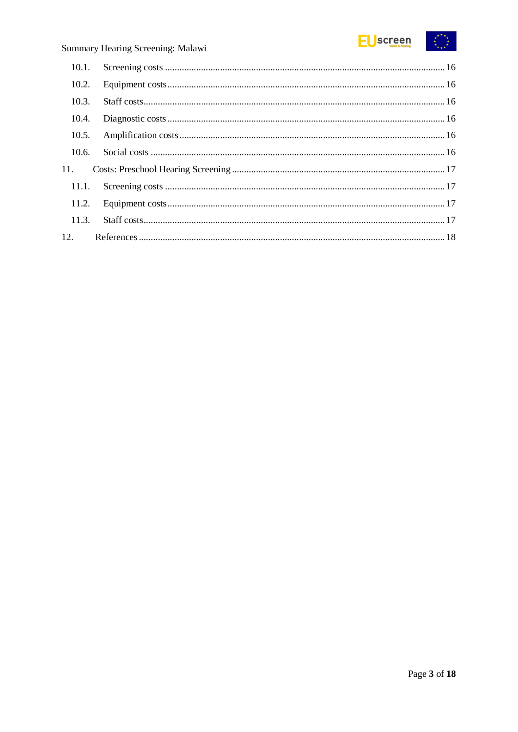

## Summary Hearing Screening: Malawi

| 10.2. |  |
|-------|--|
| 10.3. |  |
| 10.4. |  |
| 10.5. |  |
| 10.6. |  |
| 11.   |  |
|       |  |
|       |  |
| 11.3. |  |
|       |  |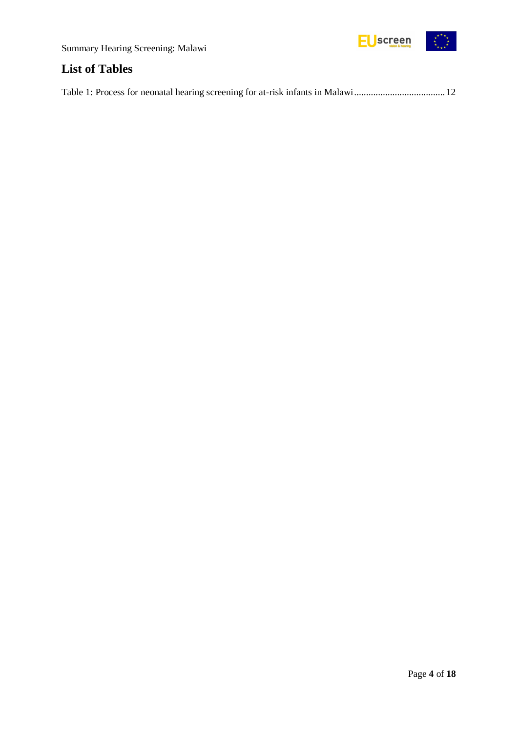



## <span id="page-3-0"></span>**List of Tables**

|--|--|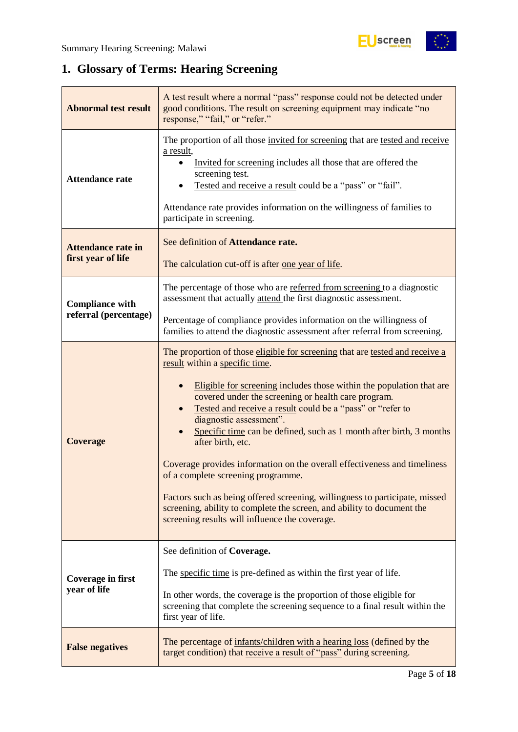$\begin{pmatrix} x^2 & x^2 \\ x & x^2 \end{pmatrix}$ 

## <span id="page-4-0"></span>**1. Glossary of Terms: Hearing Screening**

| <b>Abnormal test result</b>                     | A test result where a normal "pass" response could not be detected under<br>good conditions. The result on screening equipment may indicate "no<br>response," "fail," or "refer."                                                                                                                                                                                                                                                                                                                                                                                                                                                                                                                                                                                |  |  |  |
|-------------------------------------------------|------------------------------------------------------------------------------------------------------------------------------------------------------------------------------------------------------------------------------------------------------------------------------------------------------------------------------------------------------------------------------------------------------------------------------------------------------------------------------------------------------------------------------------------------------------------------------------------------------------------------------------------------------------------------------------------------------------------------------------------------------------------|--|--|--|
| <b>Attendance rate</b>                          | The proportion of all those invited for screening that are tested and receive<br>a result,<br>Invited for screening includes all those that are offered the<br>screening test.<br>Tested and receive a result could be a "pass" or "fail".<br>Attendance rate provides information on the willingness of families to<br>participate in screening.                                                                                                                                                                                                                                                                                                                                                                                                                |  |  |  |
| <b>Attendance rate in</b><br>first year of life | See definition of Attendance rate.<br>The calculation cut-off is after <u>one year of life</u> .                                                                                                                                                                                                                                                                                                                                                                                                                                                                                                                                                                                                                                                                 |  |  |  |
| <b>Compliance with</b>                          | The percentage of those who are referred from screening to a diagnostic<br>assessment that actually attend the first diagnostic assessment.                                                                                                                                                                                                                                                                                                                                                                                                                                                                                                                                                                                                                      |  |  |  |
| referral (percentage)                           | Percentage of compliance provides information on the willingness of<br>families to attend the diagnostic assessment after referral from screening.                                                                                                                                                                                                                                                                                                                                                                                                                                                                                                                                                                                                               |  |  |  |
| <b>Coverage</b>                                 | The proportion of those eligible for screening that are tested and receive a<br>result within a specific time.<br>Eligible for screening includes those within the population that are<br>covered under the screening or health care program.<br>Tested and receive a result could be a "pass" or "refer to<br>diagnostic assessment".<br>Specific time can be defined, such as 1 month after birth, 3 months<br>after birth, etc.<br>Coverage provides information on the overall effectiveness and timeliness<br>of a complete screening programme.<br>Factors such as being offered screening, willingness to participate, missed<br>screening, ability to complete the screen, and ability to document the<br>screening results will influence the coverage. |  |  |  |
| Coverage in first<br>year of life               | See definition of Coverage.<br>The specific time is pre-defined as within the first year of life.<br>In other words, the coverage is the proportion of those eligible for<br>screening that complete the screening sequence to a final result within the<br>first year of life.                                                                                                                                                                                                                                                                                                                                                                                                                                                                                  |  |  |  |
| <b>False negatives</b>                          | The percentage of infants/children with a hearing loss (defined by the<br>target condition) that receive a result of "pass" during screening.                                                                                                                                                                                                                                                                                                                                                                                                                                                                                                                                                                                                                    |  |  |  |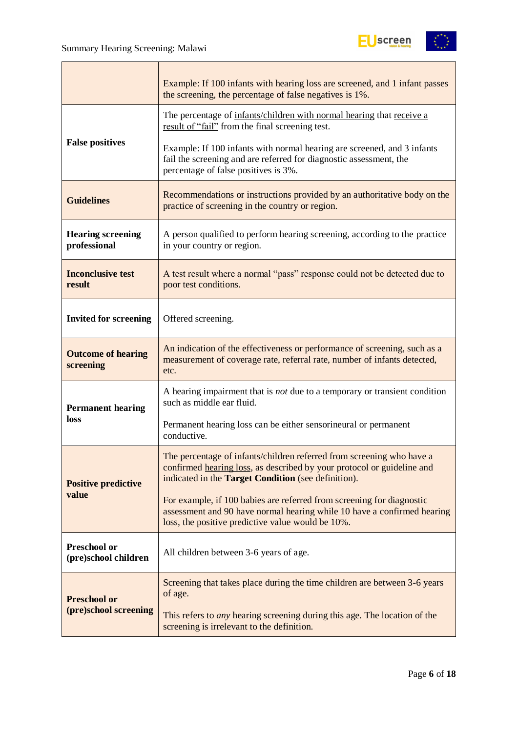

|                                             | Example: If 100 infants with hearing loss are screened, and 1 infant passes<br>the screening, the percentage of false negatives is 1%.                                                                 |  |  |  |
|---------------------------------------------|--------------------------------------------------------------------------------------------------------------------------------------------------------------------------------------------------------|--|--|--|
|                                             | The percentage of infants/children with normal hearing that receive a<br>result of "fail" from the final screening test.                                                                               |  |  |  |
| <b>False positives</b>                      | Example: If 100 infants with normal hearing are screened, and 3 infants<br>fail the screening and are referred for diagnostic assessment, the<br>percentage of false positives is 3%.                  |  |  |  |
| <b>Guidelines</b>                           | Recommendations or instructions provided by an authoritative body on the<br>practice of screening in the country or region.                                                                            |  |  |  |
| <b>Hearing screening</b><br>professional    | A person qualified to perform hearing screening, according to the practice<br>in your country or region.                                                                                               |  |  |  |
| <b>Inconclusive test</b><br>result          | A test result where a normal "pass" response could not be detected due to<br>poor test conditions.                                                                                                     |  |  |  |
| <b>Invited for screening</b>                | Offered screening.                                                                                                                                                                                     |  |  |  |
| <b>Outcome of hearing</b><br>screening      | An indication of the effectiveness or performance of screening, such as a<br>measurement of coverage rate, referral rate, number of infants detected,<br>etc.                                          |  |  |  |
| <b>Permanent hearing</b>                    | A hearing impairment that is <i>not</i> due to a temporary or transient condition<br>such as middle ear fluid.                                                                                         |  |  |  |
| loss                                        | Permanent hearing loss can be either sensorineural or permanent<br>conductive.                                                                                                                         |  |  |  |
| <b>Positive predictive</b>                  | The percentage of infants/children referred from screening who have a<br>confirmed hearing loss, as described by your protocol or guideline and<br>indicated in the Target Condition (see definition). |  |  |  |
| value                                       | For example, if 100 babies are referred from screening for diagnostic<br>assessment and 90 have normal hearing while 10 have a confirmed hearing<br>loss, the positive predictive value would be 10%.  |  |  |  |
| <b>Preschool or</b><br>(pre)school children | All children between 3-6 years of age.                                                                                                                                                                 |  |  |  |
| <b>Preschool or</b>                         | Screening that takes place during the time children are between 3-6 years<br>of age.                                                                                                                   |  |  |  |
| (pre)school screening                       | This refers to <i>any</i> hearing screening during this age. The location of the<br>screening is irrelevant to the definition.                                                                         |  |  |  |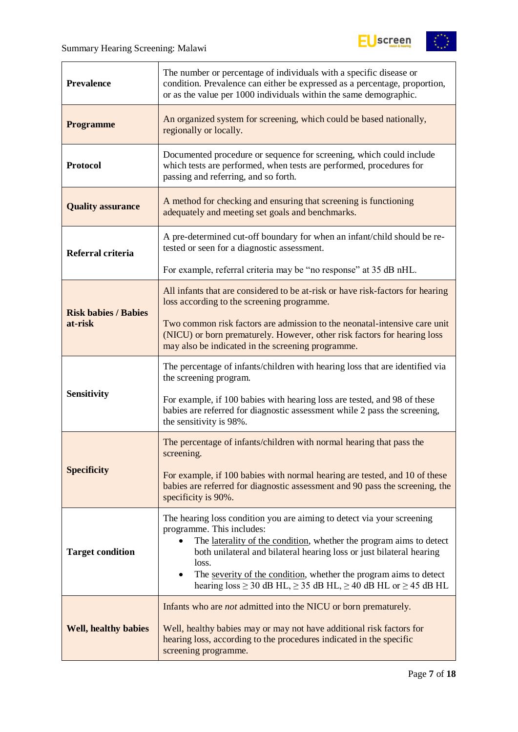$\overline{r}$ 



| <b>Prevalence</b>           | The number or percentage of individuals with a specific disease or<br>condition. Prevalence can either be expressed as a percentage, proportion,<br>or as the value per 1000 individuals within the same demographic.                                                                                                                                                                                                                       |  |  |  |
|-----------------------------|---------------------------------------------------------------------------------------------------------------------------------------------------------------------------------------------------------------------------------------------------------------------------------------------------------------------------------------------------------------------------------------------------------------------------------------------|--|--|--|
| <b>Programme</b>            | An organized system for screening, which could be based nationally,<br>regionally or locally.                                                                                                                                                                                                                                                                                                                                               |  |  |  |
| <b>Protocol</b>             | Documented procedure or sequence for screening, which could include<br>which tests are performed, when tests are performed, procedures for<br>passing and referring, and so forth.                                                                                                                                                                                                                                                          |  |  |  |
| <b>Quality assurance</b>    | A method for checking and ensuring that screening is functioning<br>adequately and meeting set goals and benchmarks.                                                                                                                                                                                                                                                                                                                        |  |  |  |
| Referral criteria           | A pre-determined cut-off boundary for when an infant/child should be re-<br>tested or seen for a diagnostic assessment.                                                                                                                                                                                                                                                                                                                     |  |  |  |
|                             | For example, referral criteria may be "no response" at 35 dB nHL.                                                                                                                                                                                                                                                                                                                                                                           |  |  |  |
| <b>Risk babies / Babies</b> | All infants that are considered to be at-risk or have risk-factors for hearing<br>loss according to the screening programme.                                                                                                                                                                                                                                                                                                                |  |  |  |
| at-risk                     | Two common risk factors are admission to the neonatal-intensive care unit<br>(NICU) or born prematurely. However, other risk factors for hearing loss<br>may also be indicated in the screening programme.                                                                                                                                                                                                                                  |  |  |  |
|                             | The percentage of infants/children with hearing loss that are identified via<br>the screening program.                                                                                                                                                                                                                                                                                                                                      |  |  |  |
| <b>Sensitivity</b>          | For example, if 100 babies with hearing loss are tested, and 98 of these<br>babies are referred for diagnostic assessment while 2 pass the screening,<br>the sensitivity is 98%.                                                                                                                                                                                                                                                            |  |  |  |
|                             | The percentage of infants/children with normal hearing that pass the<br>screening.                                                                                                                                                                                                                                                                                                                                                          |  |  |  |
| <b>Specificity</b>          | For example, if 100 babies with normal hearing are tested, and 10 of these<br>babies are referred for diagnostic assessment and 90 pass the screening, the<br>specificity is 90%.                                                                                                                                                                                                                                                           |  |  |  |
| <b>Target condition</b>     | The hearing loss condition you are aiming to detect via your screening<br>programme. This includes:<br>The laterality of the condition, whether the program aims to detect<br>$\bullet$<br>both unilateral and bilateral hearing loss or just bilateral hearing<br>loss.<br>The severity of the condition, whether the program aims to detect<br>$\bullet$<br>hearing $loss \ge 30$ dB HL, $\ge 35$ dB HL, $\ge 40$ dB HL or $\ge 45$ dB HL |  |  |  |
| <b>Well, healthy babies</b> | Infants who are <i>not</i> admitted into the NICU or born prematurely.<br>Well, healthy babies may or may not have additional risk factors for<br>hearing loss, according to the procedures indicated in the specific<br>screening programme.                                                                                                                                                                                               |  |  |  |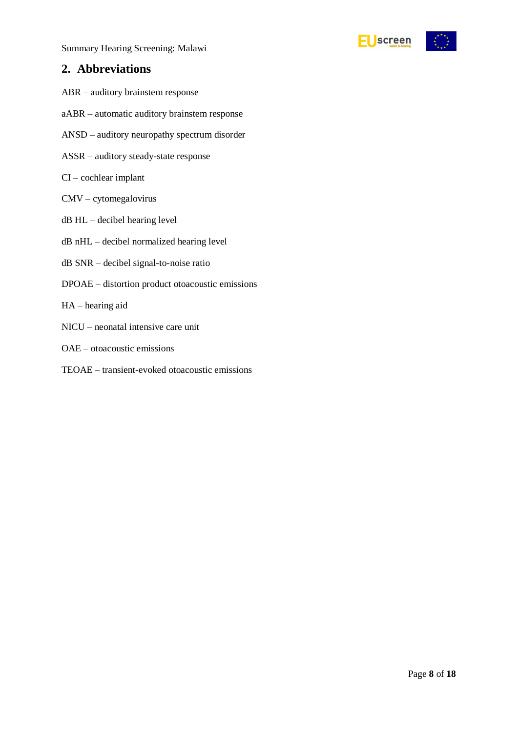Summary Hearing Screening: Malawi

### <span id="page-7-0"></span>**2. Abbreviations**

- ABR auditory brainstem response
- aABR automatic auditory brainstem response
- ANSD auditory neuropathy spectrum disorder
- ASSR auditory steady-state response
- CI cochlear implant
- CMV cytomegalovirus
- dB HL decibel hearing level
- dB nHL decibel normalized hearing level
- dB SNR decibel signal-to-noise ratio
- DPOAE distortion product otoacoustic emissions
- HA hearing aid
- NICU neonatal intensive care unit
- OAE otoacoustic emissions
- TEOAE transient-evoked otoacoustic emissions

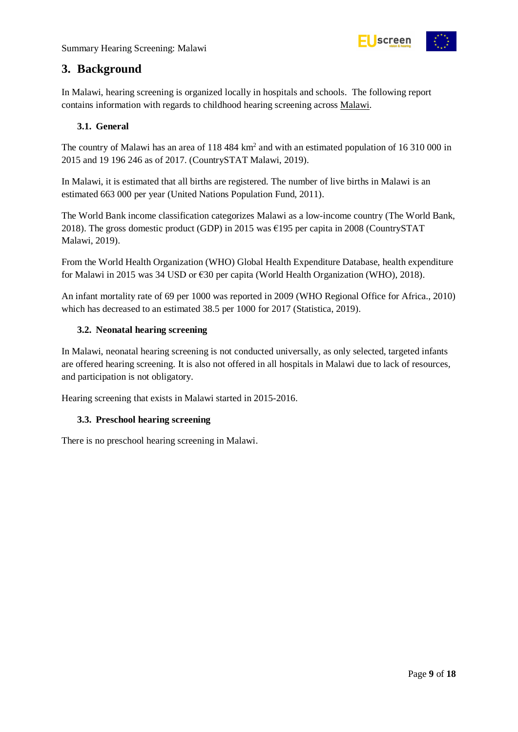

### <span id="page-8-0"></span>**3. Background**

In Malawi, hearing screening is organized locally in hospitals and schools. The following report contains information with regards to childhood hearing screening across Malawi.

#### <span id="page-8-1"></span>**3.1. General**

The country of Malawi has an area of 118 484 km<sup>2</sup> and with an estimated population of 16 310 000 in 2015 and 19 196 246 as of 2017. (CountrySTAT Malawi, 2019).

In Malawi, it is estimated that all births are registered. The number of live births in Malawi is an estimated 663 000 per year (United Nations Population Fund, 2011).

The World Bank income classification categorizes Malawi as a low-income country (The World Bank, 2018). The gross domestic product (GDP) in 2015 was €195 per capita in 2008 (CountrySTAT Malawi, 2019).

From the World Health Organization (WHO) Global Health Expenditure Database, health expenditure for Malawi in 2015 was 34 USD or €30 per capita (World Health Organization (WHO), 2018).

An infant mortality rate of 69 per 1000 was reported in 2009 (WHO Regional Office for Africa., 2010) which has decreased to an estimated 38.5 per 1000 for 2017 (Statistica, 2019).

#### <span id="page-8-2"></span>**3.2. Neonatal hearing screening**

In Malawi, neonatal hearing screening is not conducted universally, as only selected, targeted infants are offered hearing screening. It is also not offered in all hospitals in Malawi due to lack of resources, and participation is not obligatory.

Hearing screening that exists in Malawi started in 2015-2016.

#### <span id="page-8-3"></span>**3.3. Preschool hearing screening**

There is no preschool hearing screening in Malawi.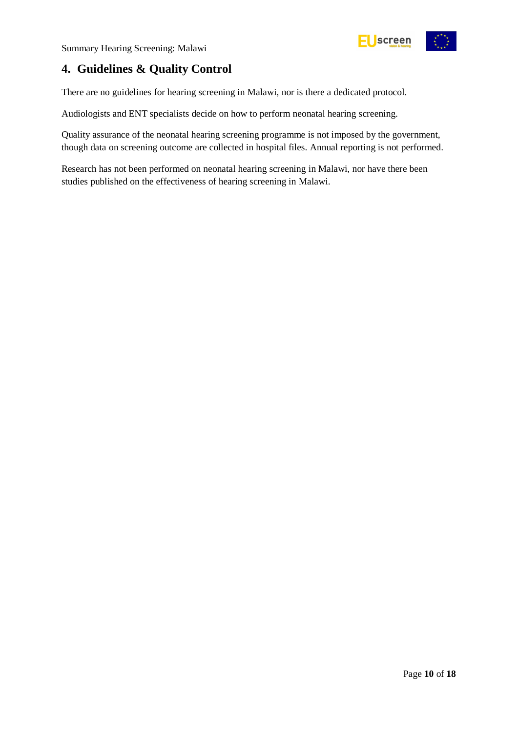

## <span id="page-9-0"></span>**4. Guidelines & Quality Control**

There are no guidelines for hearing screening in Malawi, nor is there a dedicated protocol.

Audiologists and ENT specialists decide on how to perform neonatal hearing screening.

Quality assurance of the neonatal hearing screening programme is not imposed by the government, though data on screening outcome are collected in hospital files. Annual reporting is not performed.

Research has not been performed on neonatal hearing screening in Malawi, nor have there been studies published on the effectiveness of hearing screening in Malawi.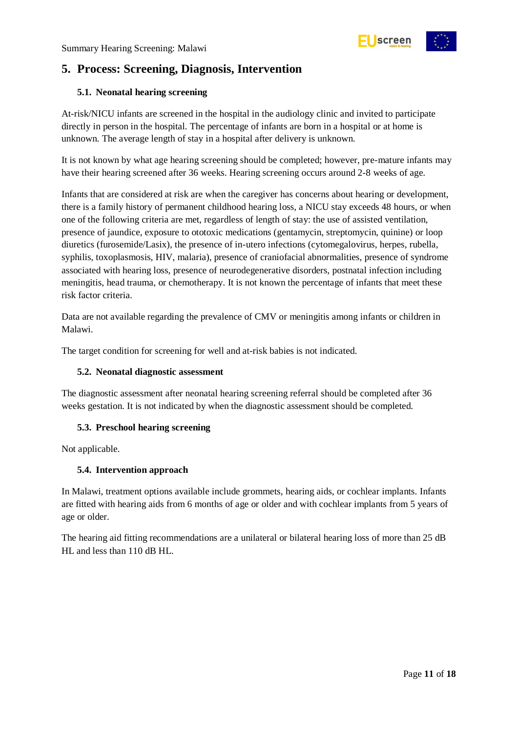## <span id="page-10-0"></span>**5. Process: Screening, Diagnosis, Intervention**

#### <span id="page-10-1"></span>**5.1. Neonatal hearing screening**

At-risk/NICU infants are screened in the hospital in the audiology clinic and invited to participate directly in person in the hospital. The percentage of infants are born in a hospital or at home is unknown. The average length of stay in a hospital after delivery is unknown.

It is not known by what age hearing screening should be completed; however, pre-mature infants may have their hearing screened after 36 weeks. Hearing screening occurs around 2-8 weeks of age.

Infants that are considered at risk are when the caregiver has concerns about hearing or development, there is a family history of permanent childhood hearing loss, a NICU stay exceeds 48 hours, or when one of the following criteria are met, regardless of length of stay: the use of assisted ventilation, presence of jaundice, exposure to ototoxic medications (gentamycin, streptomycin, quinine) or loop diuretics (furosemide/Lasix), the presence of in-utero infections (cytomegalovirus, herpes, rubella, syphilis, toxoplasmosis, HIV, malaria), presence of craniofacial abnormalities, presence of syndrome associated with hearing loss, presence of neurodegenerative disorders, postnatal infection including meningitis, head trauma, or chemotherapy. It is not known the percentage of infants that meet these risk factor criteria.

Data are not available regarding the prevalence of CMV or meningitis among infants or children in Malawi.

The target condition for screening for well and at-risk babies is not indicated.

#### <span id="page-10-2"></span>**5.2. Neonatal diagnostic assessment**

The diagnostic assessment after neonatal hearing screening referral should be completed after 36 weeks gestation. It is not indicated by when the diagnostic assessment should be completed.

#### <span id="page-10-3"></span>**5.3. Preschool hearing screening**

Not applicable.

#### <span id="page-10-4"></span>**5.4. Intervention approach**

In Malawi, treatment options available include grommets, hearing aids, or cochlear implants. Infants are fitted with hearing aids from 6 months of age or older and with cochlear implants from 5 years of age or older.

The hearing aid fitting recommendations are a unilateral or bilateral hearing loss of more than 25 dB HL and less than 110 dB HL.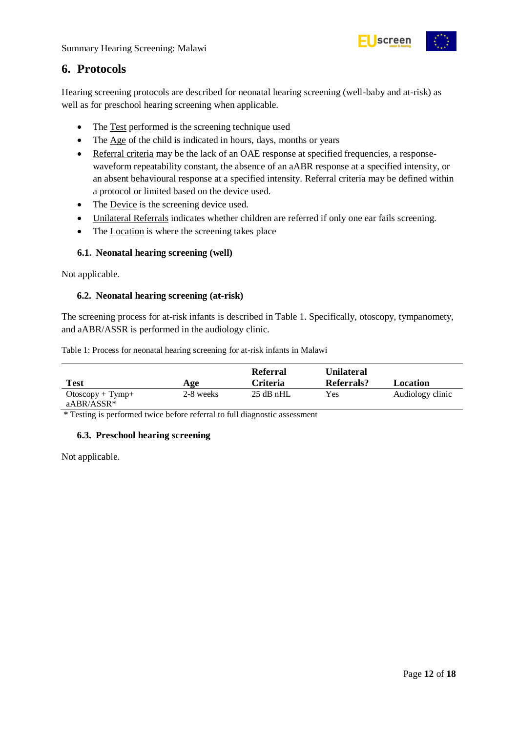

### <span id="page-11-0"></span>**6. Protocols**

Hearing screening protocols are described for neonatal hearing screening (well-baby and at-risk) as well as for preschool hearing screening when applicable.

- The Test performed is the screening technique used
- The Age of the child is indicated in hours, days, months or years
- Referral criteria may be the lack of an OAE response at specified frequencies, a responsewaveform repeatability constant, the absence of an aABR response at a specified intensity, or an absent behavioural response at a specified intensity. Referral criteria may be defined within a protocol or limited based on the device used.
- The Device is the screening device used.
- Unilateral Referrals indicates whether children are referred if only one ear fails screening.
- The Location is where the screening takes place

#### <span id="page-11-1"></span>**6.1. Neonatal hearing screening (well)**

Not applicable.

#### <span id="page-11-2"></span>**6.2. Neonatal hearing screening (at-risk)**

The screening process for at-risk infants is described in Table 1. Specifically, otoscopy, tympanomety, and aABR/ASSR is performed in the audiology clinic.

<span id="page-11-4"></span>Table 1: Process for neonatal hearing screening for at-risk infants in Malawi

| <b>Test</b>         | Age       | Referral<br><b>Criteria</b> | <b>Unilateral</b><br>Referrals? | Location         |
|---------------------|-----------|-----------------------------|---------------------------------|------------------|
| $O$ toscopy + Tymp+ | 2-8 weeks | $25$ dB nHL                 | Yes                             | Audiology clinic |
| aABR/ASSR*          |           |                             |                                 |                  |

\* Testing is performed twice before referral to full diagnostic assessment

#### <span id="page-11-3"></span>**6.3. Preschool hearing screening**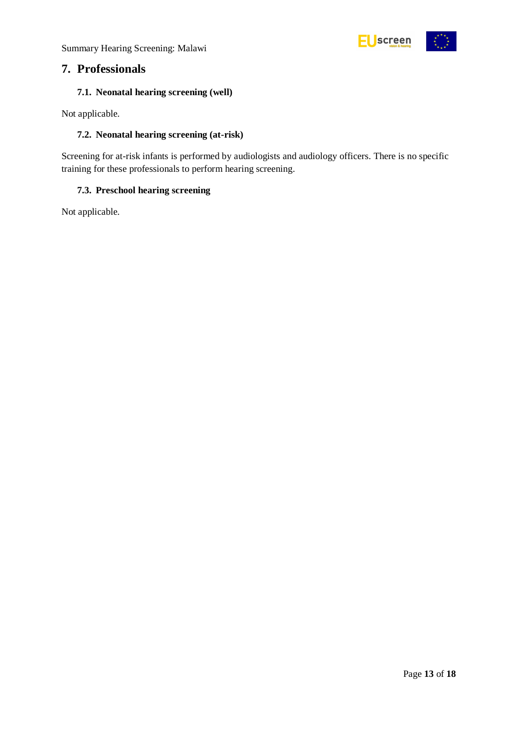Summary Hearing Screening: Malawi



### <span id="page-12-0"></span>**7. Professionals**

#### <span id="page-12-1"></span>**7.1. Neonatal hearing screening (well)**

Not applicable.

#### <span id="page-12-2"></span>**7.2. Neonatal hearing screening (at-risk)**

Screening for at-risk infants is performed by audiologists and audiology officers. There is no specific training for these professionals to perform hearing screening.

#### <span id="page-12-3"></span>**7.3. Preschool hearing screening**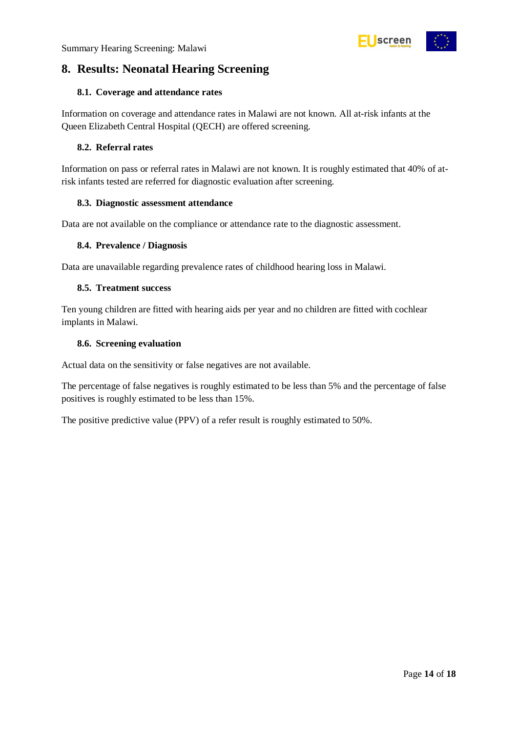

## <span id="page-13-0"></span>**8. Results: Neonatal Hearing Screening**

#### <span id="page-13-1"></span>**8.1. Coverage and attendance rates**

Information on coverage and attendance rates in Malawi are not known. All at-risk infants at the Queen Elizabeth Central Hospital (QECH) are offered screening.

#### <span id="page-13-2"></span>**8.2. Referral rates**

Information on pass or referral rates in Malawi are not known. It is roughly estimated that 40% of atrisk infants tested are referred for diagnostic evaluation after screening.

#### <span id="page-13-3"></span>**8.3. Diagnostic assessment attendance**

Data are not available on the compliance or attendance rate to the diagnostic assessment.

#### <span id="page-13-4"></span>**8.4. Prevalence / Diagnosis**

Data are unavailable regarding prevalence rates of childhood hearing loss in Malawi.

#### <span id="page-13-5"></span>**8.5. Treatment success**

Ten young children are fitted with hearing aids per year and no children are fitted with cochlear implants in Malawi.

#### <span id="page-13-6"></span>**8.6. Screening evaluation**

Actual data on the sensitivity or false negatives are not available.

The percentage of false negatives is roughly estimated to be less than 5% and the percentage of false positives is roughly estimated to be less than 15%.

The positive predictive value (PPV) of a refer result is roughly estimated to 50%.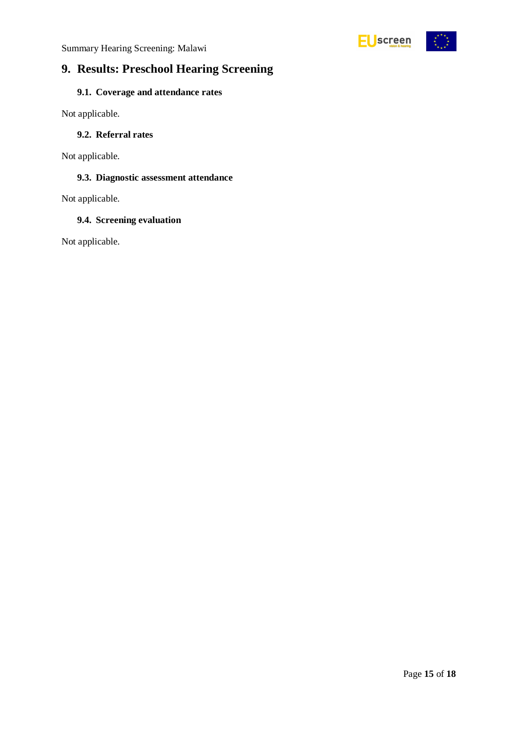

## <span id="page-14-0"></span>**9. Results: Preschool Hearing Screening**

### <span id="page-14-1"></span>**9.1. Coverage and attendance rates**

Not applicable.

#### <span id="page-14-2"></span>**9.2. Referral rates**

Not applicable.

#### <span id="page-14-3"></span>**9.3. Diagnostic assessment attendance**

Not applicable.

#### <span id="page-14-4"></span>**9.4. Screening evaluation**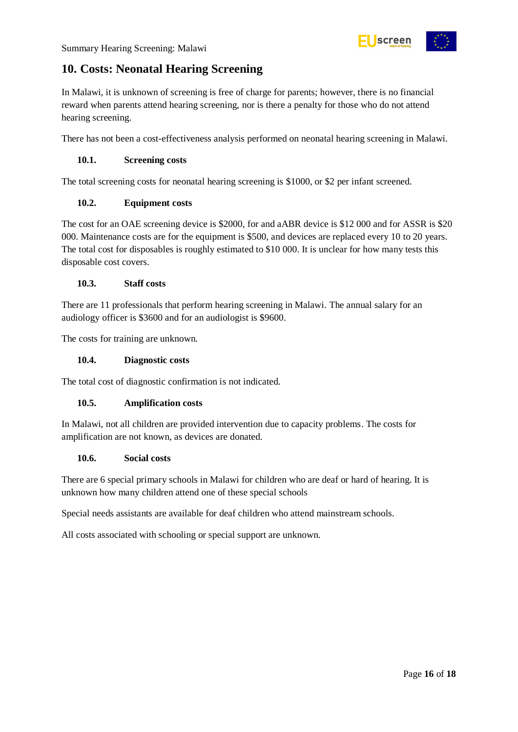

## <span id="page-15-0"></span>**10. Costs: Neonatal Hearing Screening**

In Malawi, it is unknown of screening is free of charge for parents; however, there is no financial reward when parents attend hearing screening, nor is there a penalty for those who do not attend hearing screening.

There has not been a cost-effectiveness analysis performed on neonatal hearing screening in Malawi.

#### <span id="page-15-1"></span>**10.1. Screening costs**

The total screening costs for neonatal hearing screening is \$1000, or \$2 per infant screened.

#### <span id="page-15-2"></span>**10.2. Equipment costs**

The cost for an OAE screening device is \$2000, for and aABR device is \$12 000 and for ASSR is \$20 000. Maintenance costs are for the equipment is \$500, and devices are replaced every 10 to 20 years. The total cost for disposables is roughly estimated to \$10 000. It is unclear for how many tests this disposable cost covers.

#### <span id="page-15-3"></span>**10.3. Staff costs**

There are 11 professionals that perform hearing screening in Malawi. The annual salary for an audiology officer is \$3600 and for an audiologist is \$9600.

The costs for training are unknown.

#### <span id="page-15-4"></span>**10.4. Diagnostic costs**

The total cost of diagnostic confirmation is not indicated.

#### <span id="page-15-5"></span>**10.5. Amplification costs**

In Malawi, not all children are provided intervention due to capacity problems. The costs for amplification are not known, as devices are donated.

#### <span id="page-15-6"></span>**10.6. Social costs**

There are 6 special primary schools in Malawi for children who are deaf or hard of hearing. It is unknown how many children attend one of these special schools

Special needs assistants are available for deaf children who attend mainstream schools.

All costs associated with schooling or special support are unknown.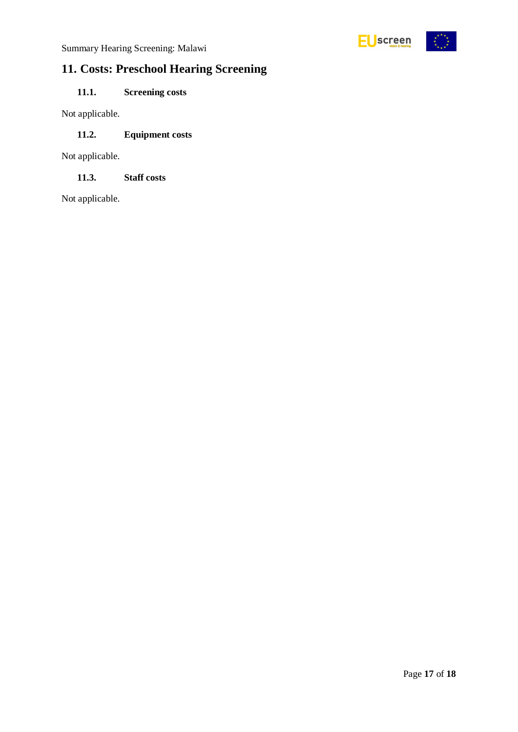

## <span id="page-16-0"></span>**11. Costs: Preschool Hearing Screening**

### <span id="page-16-1"></span>**11.1. Screening costs**

Not applicable.

### <span id="page-16-2"></span>**11.2. Equipment costs**

Not applicable.

<span id="page-16-3"></span>**11.3. Staff costs**